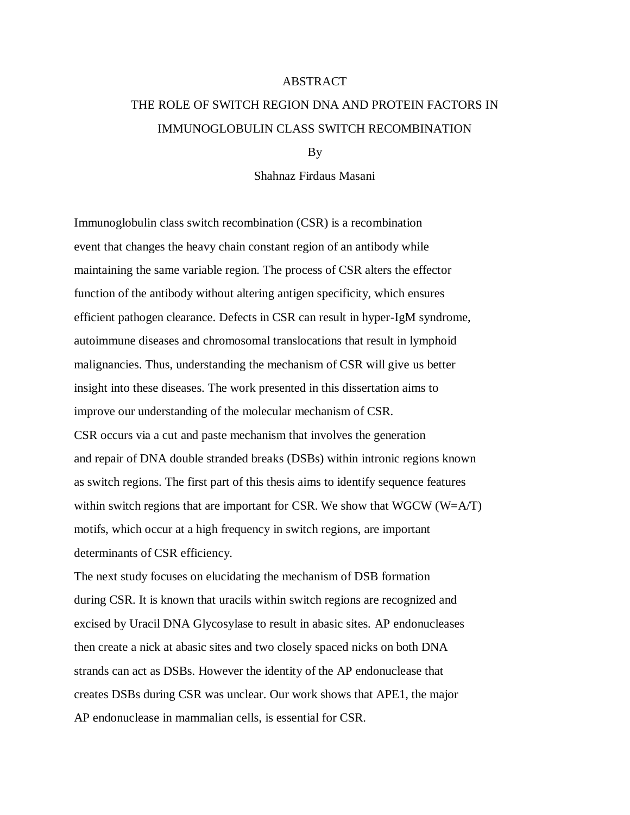## **ABSTRACT**

## THE ROLE OF SWITCH REGION DNA AND PROTEIN FACTORS IN IMMUNOGLOBULIN CLASS SWITCH RECOMBINATION

By

Shahnaz Firdaus Masani

Immunoglobulin class switch recombination (CSR) is a recombination event that changes the heavy chain constant region of an antibody while maintaining the same variable region. The process of CSR alters the effector function of the antibody without altering antigen specificity, which ensures efficient pathogen clearance. Defects in CSR can result in hyper-IgM syndrome, autoimmune diseases and chromosomal translocations that result in lymphoid malignancies. Thus, understanding the mechanism of CSR will give us better insight into these diseases. The work presented in this dissertation aims to improve our understanding of the molecular mechanism of CSR. CSR occurs via a cut and paste mechanism that involves the generation and repair of DNA double stranded breaks (DSBs) within intronic regions known as switch regions. The first part of this thesis aims to identify sequence features within switch regions that are important for CSR. We show that WGCW (W=A/T) motifs, which occur at a high frequency in switch regions, are important determinants of CSR efficiency.

The next study focuses on elucidating the mechanism of DSB formation during CSR. It is known that uracils within switch regions are recognized and excised by Uracil DNA Glycosylase to result in abasic sites. AP endonucleases then create a nick at abasic sites and two closely spaced nicks on both DNA strands can act as DSBs. However the identity of the AP endonuclease that creates DSBs during CSR was unclear. Our work shows that APE1, the major AP endonuclease in mammalian cells, is essential for CSR.